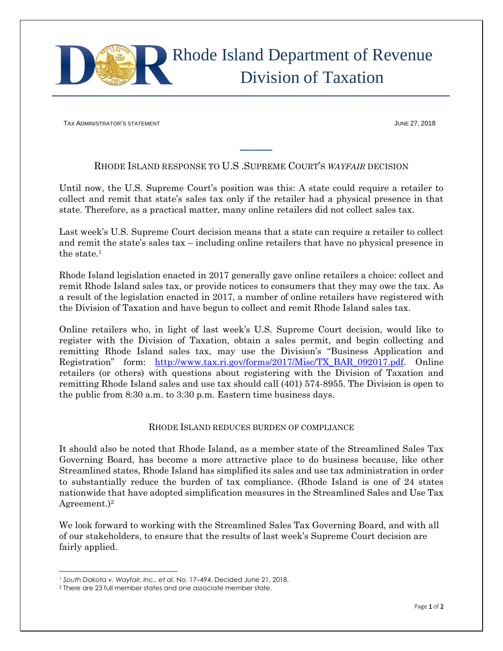

TAX ADMINISTRATOR'S STATEMENT AND THE STATE OF STATE OF STATE OF STATE OF STATE OF STATE OF STATE OF STATE OF STATE OF STATE OF STATE OF STATE OF STATE OF STATE OF STATE OF STATE OF STATE OF STATE OF STATE OF STATE OF STAT

## RHODE ISLAND RESPONSE TO U.S .SUPREME COURT'S *WAYFAIR* DECISION

Until now, the U.S. Supreme Court's position was this: A state could require a retailer to collect and remit that state's sales tax only if the retailer had a physical presence in that state. Therefore, as a practical matter, many online retailers did not collect sales tax.

Last week's U.S. Supreme Court decision means that a state can require a retailer to collect and remit the state's sales tax – including online retailers that have no physical presence in the state.<sup>1</sup>

Rhode Island legislation enacted in 2017 generally gave online retailers a choice: collect and remit Rhode Island sales tax, or provide notices to consumers that they may owe the tax. As a result of the legislation enacted in 2017, a number of online retailers have registered with the Division of Taxation and have begun to collect and remit Rhode Island sales tax.

Online retailers who, in light of last week's U.S. Supreme Court decision, would like to register with the Division of Taxation, obtain a sales permit, and begin collecting and remitting Rhode Island sales tax, may use the Division's "Business Application and Registration" form: [http://www.tax.ri.gov/forms/2017/Misc/TX\\_BAR\\_092017.pdf.](http://www.tax.ri.gov/forms/2017/Misc/TX_BAR_092017.pdf) Online retailers (or others) with questions about registering with the Division of Taxation and remitting Rhode Island sales and use tax should call (401) 574-8955. The Division is open to the public from 8:30 a.m. to 3:30 p.m. Eastern time business days.

## RHODE ISLAND REDUCES BURDEN OF COMPLIANCE

It should also be noted that Rhode Island, as a member state of the Streamlined Sales Tax Governing Board, has become a more attractive place to do business because, like other Streamlined states, Rhode Island has simplified its sales and use tax administration in order to substantially reduce the burden of tax compliance. (Rhode Island is one of 24 states nationwide that have adopted simplification measures in the Streamlined Sales and Use Tax Agreement.)<sup>2</sup>

We look forward to working with the Streamlined Sales Tax Governing Board, and with all of our stakeholders, to ensure that the results of last week's Supreme Court decision are fairly applied.

 $\overline{\phantom{a}}$ 

<sup>1</sup> *South Dakota v. Wayfair, Inc., et al*. No. 17–494. Decided June 21, 2018.

<sup>2</sup> There are 23 full member states and one associate member state.